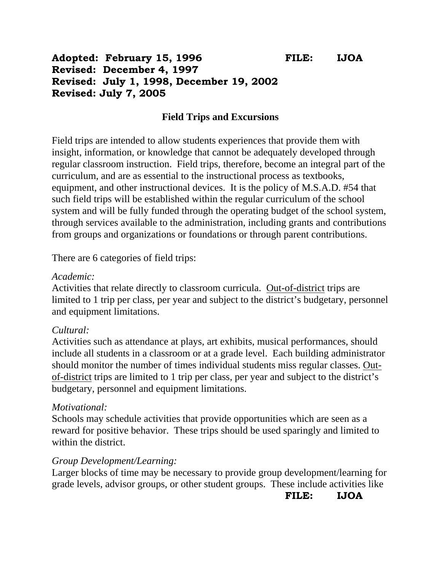## **Adopted: February 15, 1996 FILE: IJOA Revised: December 4, 1997 Revised: July 1, 1998, December 19, 2002 Revised: July 7, 2005**

#### **Field Trips and Excursions**

Field trips are intended to allow students experiences that provide them with insight, information, or knowledge that cannot be adequately developed through regular classroom instruction. Field trips, therefore, become an integral part of the curriculum, and are as essential to the instructional process as textbooks, equipment, and other instructional devices. It is the policy of M.S.A.D. #54 that such field trips will be established within the regular curriculum of the school system and will be fully funded through the operating budget of the school system, through services available to the administration, including grants and contributions from groups and organizations or foundations or through parent contributions.

There are 6 categories of field trips:

#### *Academic:*

Activities that relate directly to classroom curricula. Out-of-district trips are limited to 1 trip per class, per year and subject to the district's budgetary, personnel and equipment limitations.

#### *Cultural:*

Activities such as attendance at plays, art exhibits, musical performances, should include all students in a classroom or at a grade level. Each building administrator should monitor the number of times individual students miss regular classes. Outof-district trips are limited to 1 trip per class, per year and subject to the district's budgetary, personnel and equipment limitations.

#### *Motivational:*

Schools may schedule activities that provide opportunities which are seen as a reward for positive behavior. These trips should be used sparingly and limited to within the district.

#### *Group Development/Learning:*

Larger blocks of time may be necessary to provide group development/learning for grade levels, advisor groups, or other student groups. These include activities like

**FILE: IJOA**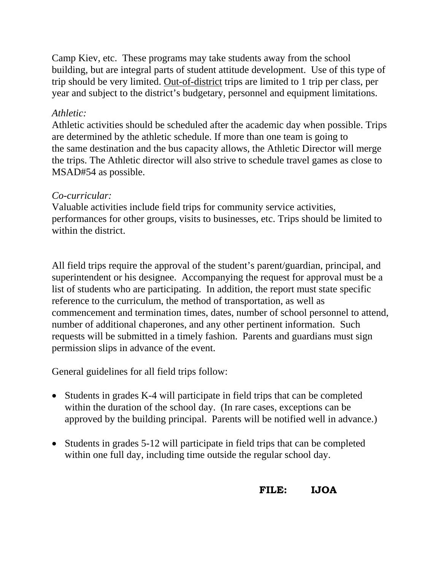Camp Kiev, etc. These programs may take students away from the school building, but are integral parts of student attitude development. Use of this type of trip should be very limited. Out-of-district trips are limited to 1 trip per class, per year and subject to the district's budgetary, personnel and equipment limitations.

#### *Athletic:*

Athletic activities should be scheduled after the academic day when possible. Trips are determined by the athletic schedule. If more than one team is going to the same destination and the bus capacity allows, the Athletic Director will merge the trips. The Athletic director will also strive to schedule travel games as close to MSAD#54 as possible.

### *Co-curricular:*

Valuable activities include field trips for community service activities, performances for other groups, visits to businesses, etc. Trips should be limited to within the district.

All field trips require the approval of the student's parent/guardian, principal, and superintendent or his designee. Accompanying the request for approval must be a list of students who are participating. In addition, the report must state specific reference to the curriculum, the method of transportation, as well as commencement and termination times, dates, number of school personnel to attend, number of additional chaperones, and any other pertinent information. Such requests will be submitted in a timely fashion. Parents and guardians must sign permission slips in advance of the event.

General guidelines for all field trips follow:

- Students in grades K-4 will participate in field trips that can be completed within the duration of the school day. (In rare cases, exceptions can be approved by the building principal. Parents will be notified well in advance.)
- Students in grades 5-12 will participate in field trips that can be completed within one full day, including time outside the regular school day.

# **FILE: IJOA**